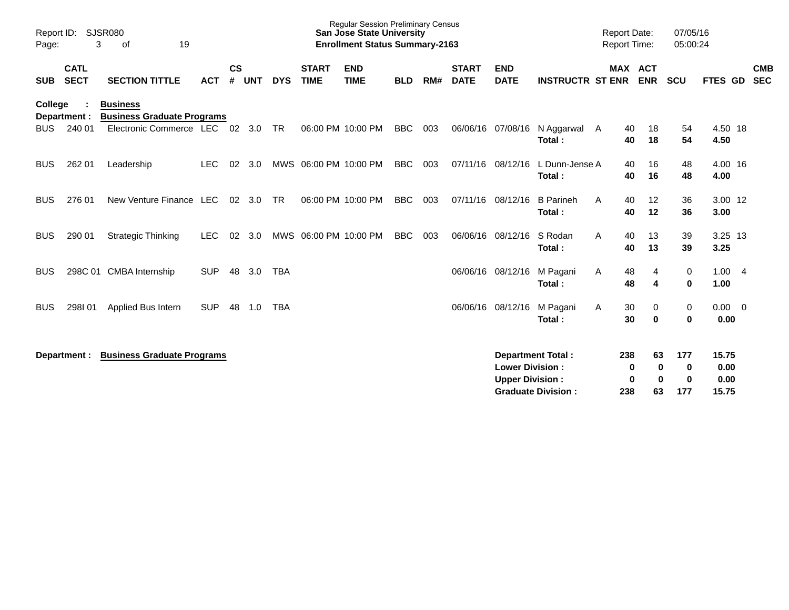| SJSR080<br>Report ID:<br>19<br>3<br>οf<br>Page:                                 |                            |                                   |            |                    |            |            | <b>Regular Session Preliminary Census</b><br><b>San Jose State University</b><br><b>Enrollment Status Summary-2163</b> |                           |            |     |                             |                                                  |                                                       | 07/05/16<br><b>Report Date:</b><br><b>Report Time:</b><br>05:00:24 |                                            |                             |                                |                          |
|---------------------------------------------------------------------------------|----------------------------|-----------------------------------|------------|--------------------|------------|------------|------------------------------------------------------------------------------------------------------------------------|---------------------------|------------|-----|-----------------------------|--------------------------------------------------|-------------------------------------------------------|--------------------------------------------------------------------|--------------------------------------------|-----------------------------|--------------------------------|--------------------------|
| <b>SUB</b>                                                                      | <b>CATL</b><br><b>SECT</b> | <b>SECTION TITTLE</b>             | <b>ACT</b> | $\mathsf{cs}$<br># | <b>UNT</b> | <b>DYS</b> | <b>START</b><br><b>TIME</b>                                                                                            | <b>END</b><br><b>TIME</b> | <b>BLD</b> | RM# | <b>START</b><br><b>DATE</b> | <b>END</b><br><b>DATE</b>                        | <b>INSTRUCTR ST ENR</b>                               |                                                                    | MAX ACT<br><b>ENR</b>                      | <b>SCU</b>                  | FTES GD                        | <b>CMB</b><br><b>SEC</b> |
| College<br><b>Business</b><br><b>Business Graduate Programs</b><br>Department : |                            |                                   |            |                    |            |            |                                                                                                                        |                           |            |     |                             |                                                  |                                                       |                                                                    |                                            |                             |                                |                          |
| <b>BUS</b>                                                                      | 240 01                     | Electronic Commerce LEC 02        |            |                    | 3.0        | <b>TR</b>  |                                                                                                                        | 06:00 PM 10:00 PM         | <b>BBC</b> | 003 | 06/06/16                    | 07/08/16                                         | N Aggarwal<br>Total:                                  | 40<br>A<br>40                                                      | 18<br>18                                   | 54<br>54                    | 4.50 18<br>4.50                |                          |
| <b>BUS</b>                                                                      | 262 01                     | Leadership                        | <b>LEC</b> | 02                 | 3.0        |            | MWS 06:00 PM 10:00 PM                                                                                                  |                           | <b>BBC</b> | 003 | 07/11/16                    | 08/12/16                                         | L Dunn-Jense A<br>Total:                              | 40<br>40                                                           | 16<br>16                                   | 48<br>48                    | 4.00 16<br>4.00                |                          |
| <b>BUS</b>                                                                      | 276 01                     | New Venture Finance LEC           |            | 02 <sub>o</sub>    | 3.0        | <b>TR</b>  |                                                                                                                        | 06:00 PM 10:00 PM         | <b>BBC</b> | 003 | 07/11/16                    | 08/12/16                                         | <b>B</b> Parineh<br>Total:                            | A<br>40<br>40                                                      | 12<br>12                                   | 36<br>36                    | 3.00 12<br>3.00                |                          |
| <b>BUS</b>                                                                      | 290 01                     | <b>Strategic Thinking</b>         | <b>LEC</b> | 02                 | 3.0        |            | MWS 06:00 PM 10:00 PM                                                                                                  |                           | <b>BBC</b> | 003 | 06/06/16                    | 08/12/16                                         | S Rodan<br>Total:                                     | A<br>40<br>40                                                      | 13<br>13                                   | 39<br>39                    | $3.25$ 13<br>3.25              |                          |
| <b>BUS</b>                                                                      |                            | 298C 01 CMBA Internship           | <b>SUP</b> | 48                 | 3.0        | <b>TBA</b> |                                                                                                                        |                           |            |     | 06/06/16                    | 08/12/16                                         | M Pagani<br>Total:                                    | 48<br>A<br>48                                                      | 4<br>4                                     | 0<br>$\mathbf 0$            | 1.004<br>1.00                  |                          |
| <b>BUS</b>                                                                      | 298101                     | Applied Bus Intern                | <b>SUP</b> | 48                 | 1.0        | <b>TBA</b> |                                                                                                                        |                           |            |     | 06/06/16                    | 08/12/16                                         | M Pagani<br>Total:                                    | 30<br>A<br>30                                                      | 0<br>$\mathbf 0$                           | 0<br>0                      | $0.00 \t 0$<br>0.00            |                          |
|                                                                                 | Department :               | <b>Business Graduate Programs</b> |            |                    |            |            |                                                                                                                        |                           |            |     |                             | <b>Lower Division:</b><br><b>Upper Division:</b> | <b>Department Total:</b><br><b>Graduate Division:</b> | 238<br>238                                                         | 63<br>$\bf{0}$<br>0<br>$\bf{0}$<br>0<br>63 | 177<br>0<br>$\bf{0}$<br>177 | 15.75<br>0.00<br>0.00<br>15.75 |                          |